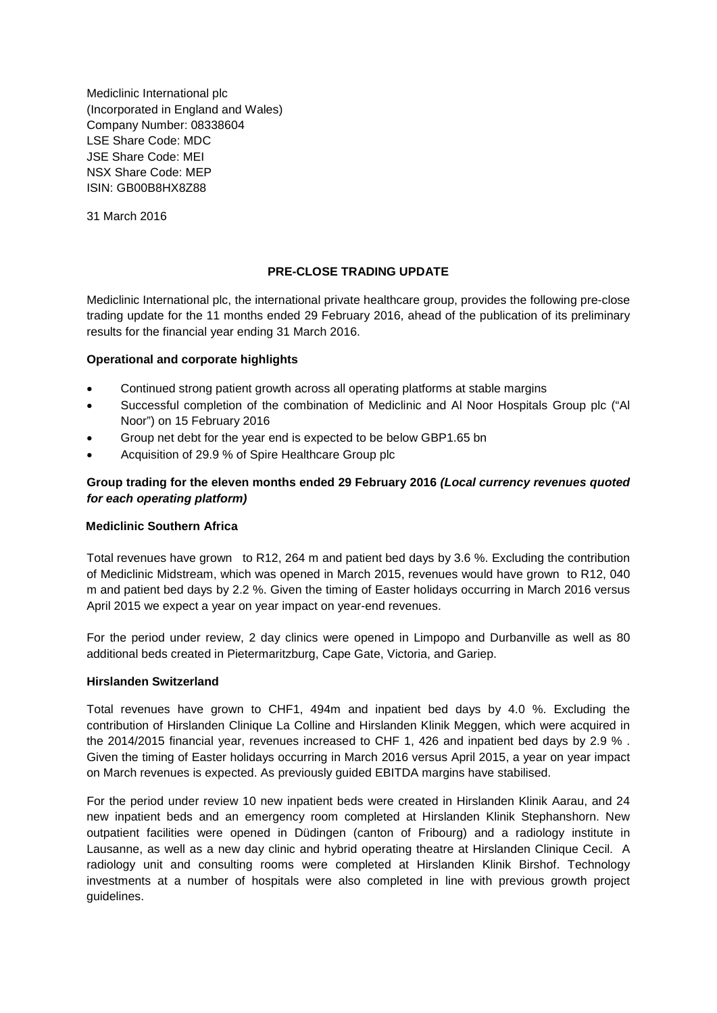Mediclinic International plc (Incorporated in England and Wales) Company Number: 08338604 LSE Share Code: MDC JSE Share Code: MEI NSX Share Code: MEP ISIN: GB00B8HX8Z88

31 March 2016

# **PRE-CLOSE TRADING UPDATE**

Mediclinic International plc, the international private healthcare group, provides the following pre-close trading update for the 11 months ended 29 February 2016, ahead of the publication of its preliminary results for the financial year ending 31 March 2016.

# **Operational and corporate highlights**

- Continued strong patient growth across all operating platforms at stable margins
- Successful completion of the combination of Mediclinic and Al Noor Hospitals Group plc ("Al Noor") on 15 February 2016
- Group net debt for the year end is expected to be below GBP1.65 bn
- Acquisition of 29.9 % of Spire Healthcare Group plc

# **Group trading for the eleven months ended 29 February 2016** *(Local currency revenues quoted for each operating platform)*

# **Mediclinic Southern Africa**

Total revenues have grown to R12, 264 m and patient bed days by 3.6 %. Excluding the contribution of Mediclinic Midstream, which was opened in March 2015, revenues would have grown to R12, 040 m and patient bed days by 2.2 %. Given the timing of Easter holidays occurring in March 2016 versus April 2015 we expect a year on year impact on year-end revenues.

For the period under review, 2 day clinics were opened in Limpopo and Durbanville as well as 80 additional beds created in Pietermaritzburg, Cape Gate, Victoria, and Gariep.

# **Hirslanden Switzerland**

Total revenues have grown to CHF1, 494m and inpatient bed days by 4.0 %. Excluding the contribution of Hirslanden Clinique La Colline and Hirslanden Klinik Meggen, which were acquired in the 2014/2015 financial year, revenues increased to CHF 1, 426 and inpatient bed days by 2.9 % . Given the timing of Easter holidays occurring in March 2016 versus April 2015, a year on year impact on March revenues is expected. As previously guided EBITDA margins have stabilised.

For the period under review 10 new inpatient beds were created in Hirslanden Klinik Aarau, and 24 new inpatient beds and an emergency room completed at Hirslanden Klinik Stephanshorn. New outpatient facilities were opened in Düdingen (canton of Fribourg) and a radiology institute in Lausanne, as well as a new day clinic and hybrid operating theatre at Hirslanden Clinique Cecil. A radiology unit and consulting rooms were completed at Hirslanden Klinik Birshof. Technology investments at a number of hospitals were also completed in line with previous growth project guidelines.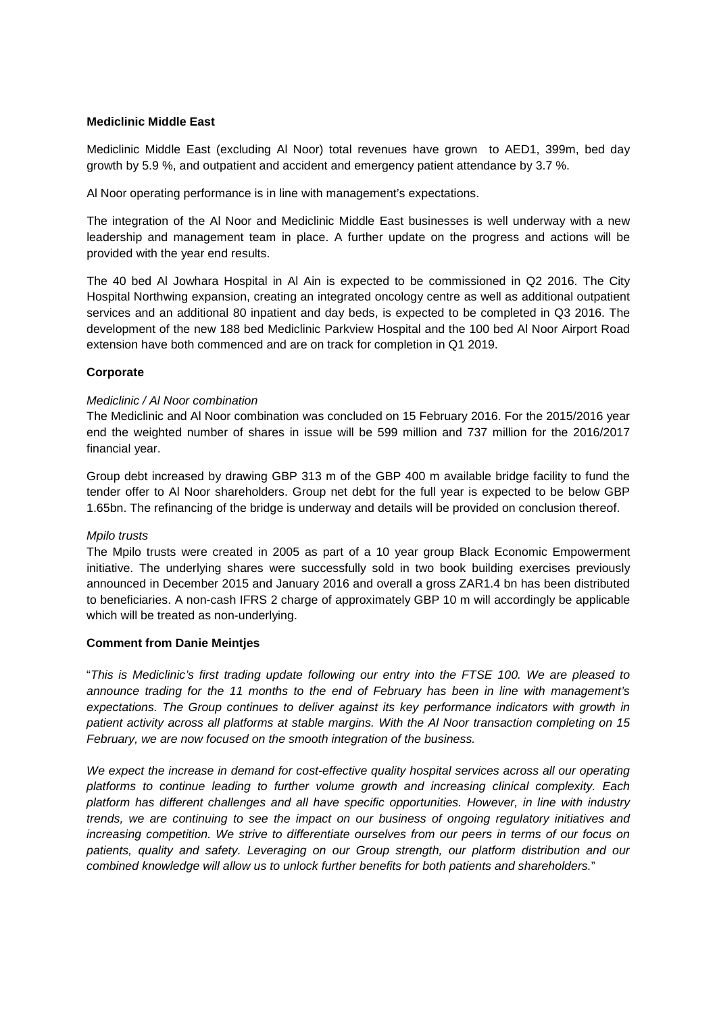### **Mediclinic Middle East**

Mediclinic Middle East (excluding Al Noor) total revenues have grown to AED1, 399m, bed day growth by 5.9 %, and outpatient and accident and emergency patient attendance by 3.7 %.

Al Noor operating performance is in line with management's expectations.

The integration of the Al Noor and Mediclinic Middle East businesses is well underway with a new leadership and management team in place. A further update on the progress and actions will be provided with the year end results.

The 40 bed Al Jowhara Hospital in Al Ain is expected to be commissioned in Q2 2016. The City Hospital Northwing expansion, creating an integrated oncology centre as well as additional outpatient services and an additional 80 inpatient and day beds, is expected to be completed in Q3 2016. The development of the new 188 bed Mediclinic Parkview Hospital and the 100 bed Al Noor Airport Road extension have both commenced and are on track for completion in Q1 2019.

# **Corporate**

### *Mediclinic / Al Noor combination*

The Mediclinic and Al Noor combination was concluded on 15 February 2016. For the 2015/2016 year end the weighted number of shares in issue will be 599 million and 737 million for the 2016/2017 financial year.

Group debt increased by drawing GBP 313 m of the GBP 400 m available bridge facility to fund the tender offer to Al Noor shareholders. Group net debt for the full year is expected to be below GBP 1.65bn. The refinancing of the bridge is underway and details will be provided on conclusion thereof.

#### *Mpilo trusts*

The Mpilo trusts were created in 2005 as part of a 10 year group Black Economic Empowerment initiative. The underlying shares were successfully sold in two book building exercises previously announced in December 2015 and January 2016 and overall a gross ZAR1.4 bn has been distributed to beneficiaries. A non-cash IFRS 2 charge of approximately GBP 10 m will accordingly be applicable which will be treated as non-underlying.

#### **Comment from Danie Meintjes**

"*This is Mediclinic's first trading update following our entry into the FTSE 100. We are pleased to announce trading for the 11 months to the end of February has been in line with management's expectations. The Group continues to deliver against its key performance indicators with growth in patient activity across all platforms at stable margins. With the Al Noor transaction completing on 15 February, we are now focused on the smooth integration of the business.*

*We expect the increase in demand for cost-effective quality hospital services across all our operating platforms to continue leading to further volume growth and increasing clinical complexity. Each platform has different challenges and all have specific opportunities. However, in line with industry trends, we are continuing to see the impact on our business of ongoing regulatory initiatives and increasing competition. We strive to differentiate ourselves from our peers in terms of our focus on patients, quality and safety. Leveraging on our Group strength, our platform distribution and our combined knowledge will allow us to unlock further benefits for both patients and shareholders.*"